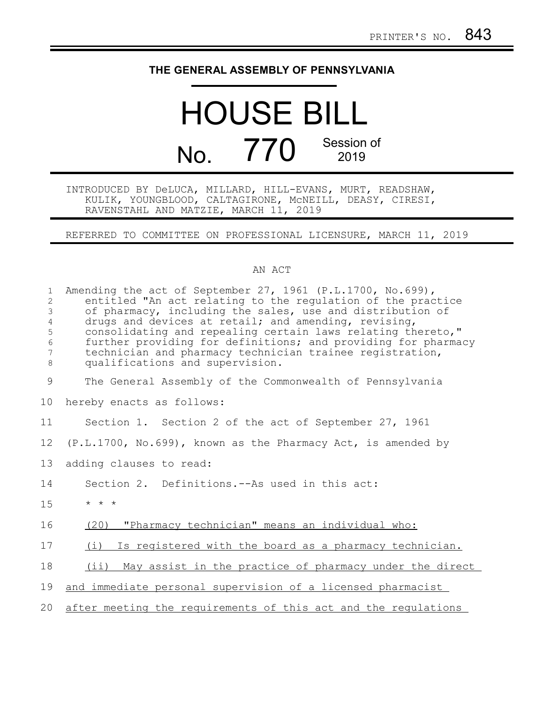## **THE GENERAL ASSEMBLY OF PENNSYLVANIA**

# HOUSE BILL No. 770 Session of 2019

#### INTRODUCED BY DeLUCA, MILLARD, HILL-EVANS, MURT, READSHAW, KULIK, YOUNGBLOOD, CALTAGIRONE, McNEILL, DEASY, CIRESI, RAVENSTAHL AND MATZIE, MARCH 11, 2019

### REFERRED TO COMMITTEE ON PROFESSIONAL LICENSURE, MARCH 11, 2019

#### AN ACT

| $\mathbf{1}$<br>$\overline{2}$<br>3<br>$\overline{4}$<br>5<br>$\epsilon$<br>7<br>$\,8\,$ | Amending the act of September 27, 1961 (P.L.1700, No.699),<br>entitled "An act relating to the regulation of the practice<br>of pharmacy, including the sales, use and distribution of<br>drugs and devices at retail; and amending, revising,<br>consolidating and repealing certain laws relating thereto,"<br>further providing for definitions; and providing for pharmacy<br>technician and pharmacy technician trainee registration,<br>qualifications and supervision. |
|------------------------------------------------------------------------------------------|-------------------------------------------------------------------------------------------------------------------------------------------------------------------------------------------------------------------------------------------------------------------------------------------------------------------------------------------------------------------------------------------------------------------------------------------------------------------------------|
| $\mathcal{G}$                                                                            | The General Assembly of the Commonwealth of Pennsylvania                                                                                                                                                                                                                                                                                                                                                                                                                      |
| 10                                                                                       | hereby enacts as follows:                                                                                                                                                                                                                                                                                                                                                                                                                                                     |
| 11                                                                                       | Section 1. Section 2 of the act of September 27, 1961                                                                                                                                                                                                                                                                                                                                                                                                                         |
| 12                                                                                       | (P.L.1700, No.699), known as the Pharmacy Act, is amended by                                                                                                                                                                                                                                                                                                                                                                                                                  |
| 13                                                                                       | adding clauses to read:                                                                                                                                                                                                                                                                                                                                                                                                                                                       |
| 14                                                                                       | Section 2. Definitions.--As used in this act:                                                                                                                                                                                                                                                                                                                                                                                                                                 |
| 15                                                                                       | $* * *$                                                                                                                                                                                                                                                                                                                                                                                                                                                                       |
| 16                                                                                       | (20)<br>"Pharmacy technician" means an individual who:                                                                                                                                                                                                                                                                                                                                                                                                                        |
| 17                                                                                       | (i) Is registered with the board as a pharmacy technician.                                                                                                                                                                                                                                                                                                                                                                                                                    |
| 18                                                                                       | May assist in the practice of pharmacy under the direct<br>$(i$ i)                                                                                                                                                                                                                                                                                                                                                                                                            |
| 19                                                                                       | and immediate personal supervision of a licensed pharmacist                                                                                                                                                                                                                                                                                                                                                                                                                   |
| 20                                                                                       | after meeting the requirements of this act and the regulations                                                                                                                                                                                                                                                                                                                                                                                                                |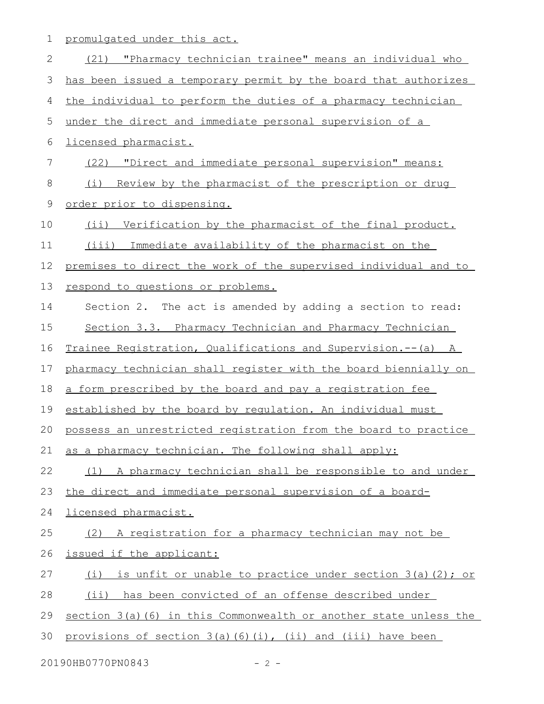1 promulgated under this act.

| $\mathbf{2}$  | (21) "Pharmacy technician trainee" means an individual who        |
|---------------|-------------------------------------------------------------------|
| 3             | has been issued a temporary permit by the board that authorizes   |
| 4             | the individual to perform the duties of a pharmacy technician     |
| 5             | under the direct and immediate personal supervision of a          |
| 6             | licensed pharmacist.                                              |
| 7             | (22) "Direct and immediate personal supervision" means:           |
| 8             | Review by the pharmacist of the prescription or drug<br>(i)       |
| $\mathcal{G}$ | order prior to dispensing.                                        |
| 10            | (ii) Verification by the pharmacist of the final product.         |
| 11            | (iii) Immediate availability of the pharmacist on the             |
| 12            | premises to direct the work of the supervised individual and to   |
| 13            | respond to questions or problems.                                 |
| 14            | Section 2. The act is amended by adding a section to read:        |
| 15            | Section 3.3. Pharmacy Technician and Pharmacy Technician          |
| 16            | Trainee Registration, Qualifications and Supervision.--(a) A      |
| 17            | pharmacy technician shall register with the board biennially on   |
| 18            | a form prescribed by the board and pay a registration fee         |
| 19            | established by the board by requlation. An individual must        |
| 20            | possess an unrestricted registration from the board to practice   |
| 21            | as a pharmacy technician. The following shall apply:              |
| 22            | (1) A pharmacy technician shall be responsible to and under       |
| 23            | the direct and immediate personal supervision of a board-         |
| 24            | licensed pharmacist.                                              |
| 25            | (2) A registration for a pharmacy technician may not be           |
| 26            | issued if the applicant:                                          |
| 27            | is unfit or unable to practice under section 3(a)(2); or<br>(i)   |
| 28            | (ii) has been convicted of an offense described under             |
| 29            | section 3(a) (6) in this Commonwealth or another state unless the |
| 30            | provisions of section 3(a)(6)(i), (ii) and (iii) have been        |

20190HB0770PN0843 - 2 -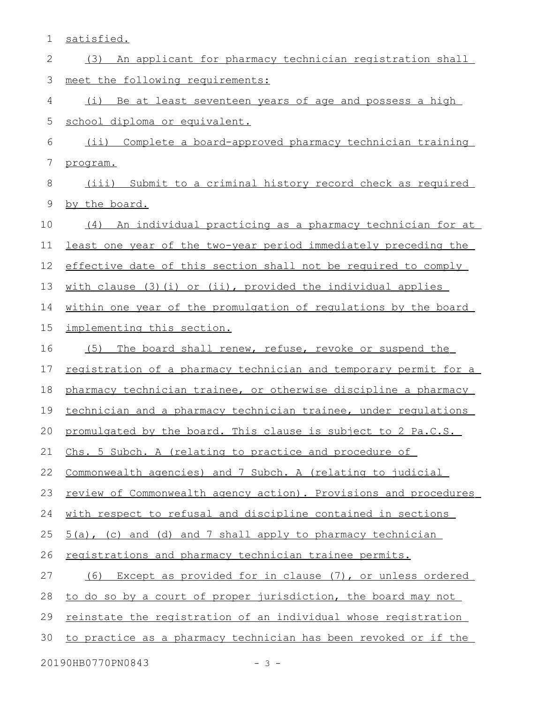| 1                           | satisfied.                                                        |  |
|-----------------------------|-------------------------------------------------------------------|--|
| 2                           | An applicant for pharmacy technician registration shall<br>(3)    |  |
| 3                           | meet the following requirements:                                  |  |
| 4                           | Be at least seventeen years of age and possess a high<br>(i)      |  |
| 5                           | school diploma or equivalent.                                     |  |
| 6                           | Complete a board-approved pharmacy technician training<br>$(i$ i) |  |
| 7                           | program.                                                          |  |
| 8                           | (iii) Submit to a criminal history record check as required       |  |
| 9                           | by the board.                                                     |  |
| 10                          | An individual practicing as a pharmacy technician for at<br>(4)   |  |
| 11                          | least one year of the two-year period immediately preceding the   |  |
| 12                          | effective date of this section shall not be required to comply    |  |
| 13                          | with clause (3)(i) or (ii), provided the individual applies       |  |
| 14                          | within one year of the promulgation of regulations by the board   |  |
| 15                          | implementing this section.                                        |  |
| 16                          | (5)<br>The board shall renew, refuse, revoke or suspend the       |  |
| 17                          | registration of a pharmacy technician and temporary permit for a  |  |
| 18                          | pharmacy technician trainee, or otherwise discipline a pharmacy   |  |
| 19                          | technician and a pharmacy technician trainee, under regulations   |  |
|                             | 20 promulgated by the board. This clause is subject to 2 Pa.C.S.  |  |
| 21                          | Chs. 5 Subch. A (relating to practice and procedure of            |  |
| 22                          | Commonwealth agencies) and 7 Subch. A (relating to judicial       |  |
| 23                          | review of Commonwealth agency action). Provisions and procedures  |  |
| 24                          | with respect to refusal and discipline contained in sections      |  |
| 25                          | 5(a), (c) and (d) and 7 shall apply to pharmacy technician        |  |
| 26                          | registrations and pharmacy technician trainee permits.            |  |
| 27                          | Except as provided for in clause (7), or unless ordered<br>(6)    |  |
| 28                          | to do so by a court of proper jurisdiction, the board may not     |  |
| 29                          | reinstate the registration of an individual whose registration    |  |
| 30                          | to practice as a pharmacy technician has been revoked or if the   |  |
| 20190HB0770PN0843<br>$-3 -$ |                                                                   |  |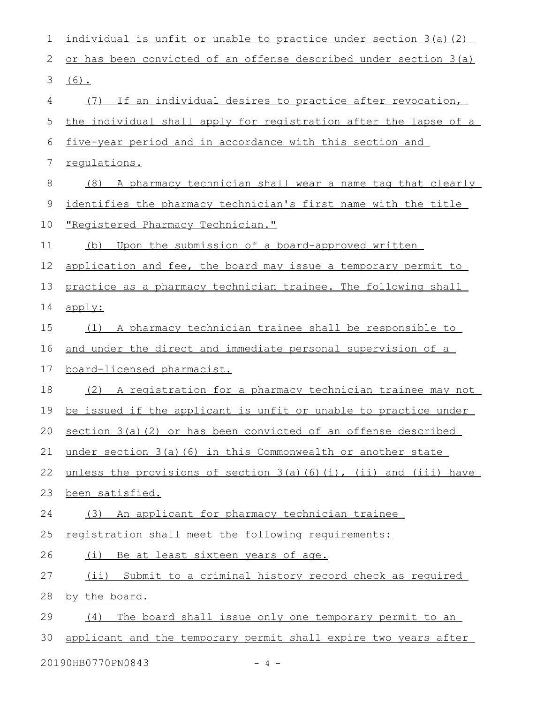| $\mathbf 1$            | individual is unfit or unable to practice under section 3(a) (2)              |  |
|------------------------|-------------------------------------------------------------------------------|--|
| 2                      | or has been convicted of an offense described under section 3(a)              |  |
| 3                      | $(6)$ .                                                                       |  |
| 4                      | (7) If an individual desires to practice after revocation,                    |  |
| 5                      | the individual shall apply for registration after the lapse of a              |  |
| 6                      | five-year period and in accordance with this section and                      |  |
| 7                      | requlations.                                                                  |  |
| 8                      | (8) A pharmacy technician shall wear a name tag that clearly                  |  |
| $\mathcal{G}$          | identifies the pharmacy technician's first name with the title                |  |
| 10                     | <u> "Registered Pharmacy Technician."</u>                                     |  |
| 11                     | Upon the submission of a board-approved written<br>(b)                        |  |
| 12                     | application and fee, the board may issue a temporary permit to                |  |
| 13                     | practice as a pharmacy technician trainee. The following shall                |  |
| 14                     | apply:                                                                        |  |
| 15                     | A pharmacy technician trainee shall be responsible to<br>(1)                  |  |
| 16                     | and under the direct and immediate personal supervision of a                  |  |
| 17                     | board-licensed pharmacist.                                                    |  |
| 18                     | (2) A registration for a pharmacy technician trainee may not                  |  |
| 19                     | be issued if the applicant is unfit or unable to practice under               |  |
| 20                     | section 3(a)(2) or has been convicted of an offense described                 |  |
| 21                     | under section 3(a) (6) in this Commonwealth or another state                  |  |
| 22                     | unless the provisions of section $3(a)$ $(6)$ $(i)$ , $(ii)$ and $(iii)$ have |  |
| 23                     | been satisfied.                                                               |  |
| 24                     | (3) An applicant for pharmacy technician trainee                              |  |
| 25                     | registration shall meet the following requirements:                           |  |
| 26                     | (i) Be at least sixteen years of age.                                         |  |
| 27                     | (ii) Submit to a criminal history record check as required                    |  |
| 28                     | by the board.                                                                 |  |
| 29                     | (4)<br>The board shall issue only one temporary permit to an                  |  |
| 30                     | applicant and the temporary permit shall expire two years after               |  |
| 20190HB0770PN0843<br>4 |                                                                               |  |